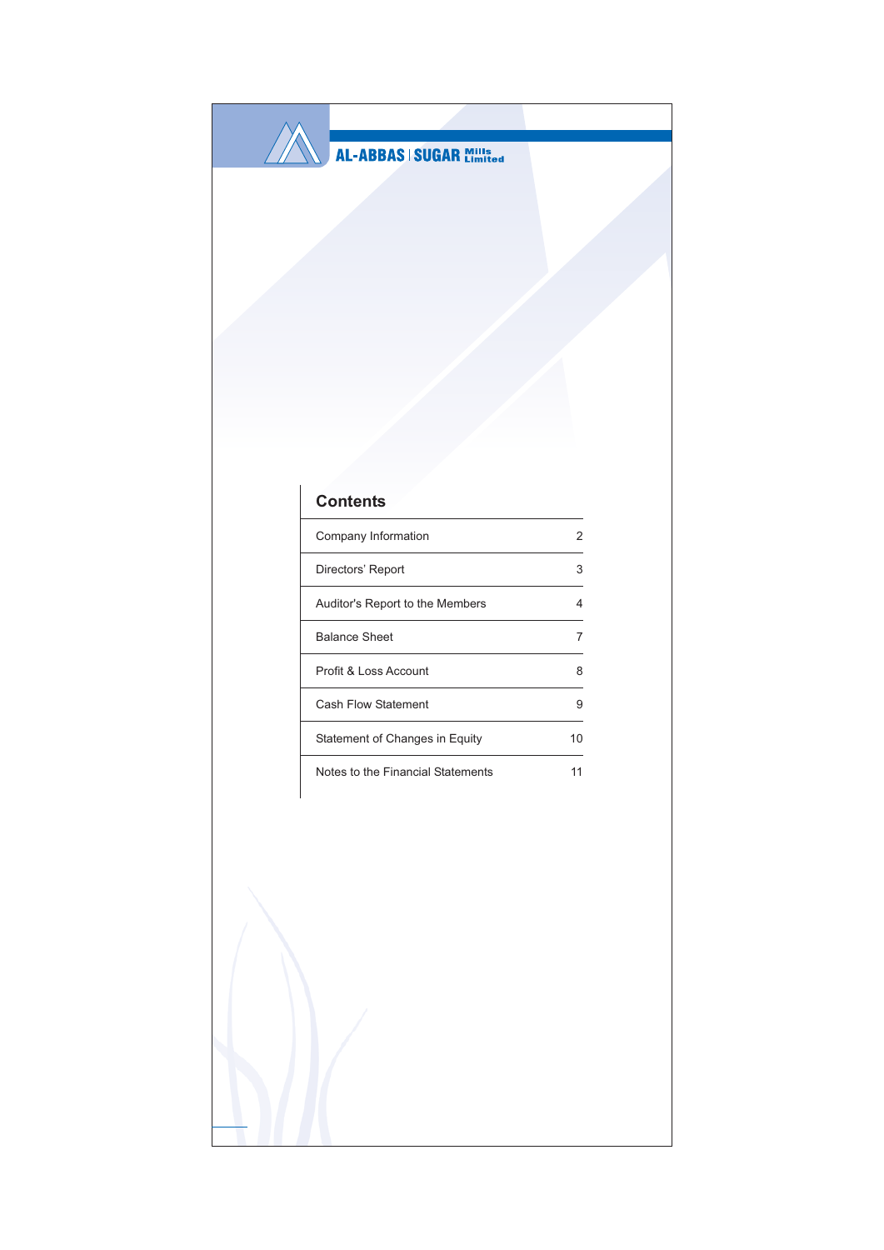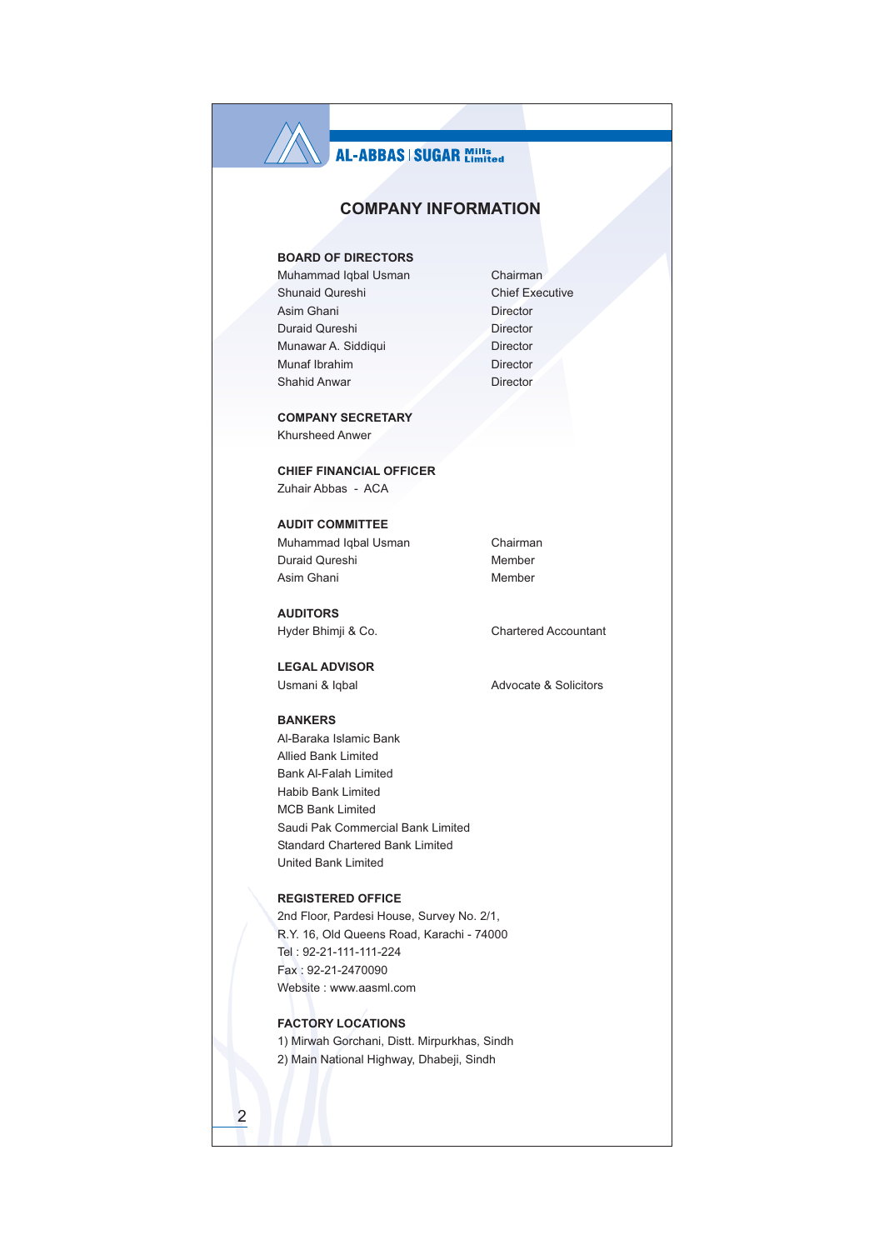## **COMPANY INFORMATION**

## **BOARD OF DIRECTORS**

Muhammad Iqbal Usman Shunaid Qureshi Asim Ghani Duraid Qureshi Munawar A. Siddiqui Munaf Ibrahim Shahid Anwar

**COMPANY SECRETARY** Khursheed Anwer

**CHIEF FINANCIAL OFFICER** Zuhair Abbas - ACA

**AUDIT COMMITTEE** Muhammad Iqbal Usman Duraid Qureshi Asim Ghani

**AUDITORS** Hyder Bhimji & Co.

**LEGAL ADVISOR** Usmani & Iqbal

**BANKERS** 

Al-Baraka Islamic Bank Allied Bank Limited **Bank Al-Falah Limited** Habib Bank Limited **MCB Bank Limited** Saudi Pak Commercial Bank Limited Standard Chartered Bank Limited United Bank Limited

## **REGISTERED OFFICE**

2nd Floor, Pardesi House, Survey No. 2/1, R.Y. 16, Old Queens Road, Karachi - 74000 Tel: 92-21-111-111-224 Fax: 92-21-2470090 Website: www.aasml.com

## **FACTORY LOCATIONS**

1) Mirwah Gorchani, Distt. Mirpurkhas, Sindh 2) Main National Highway, Dhabeji, Sindh

Chairman **Chief Executive** Director Director Director Director Director

Chairman Member Member

**Chartered Accountant** 

Advocate & Solicitors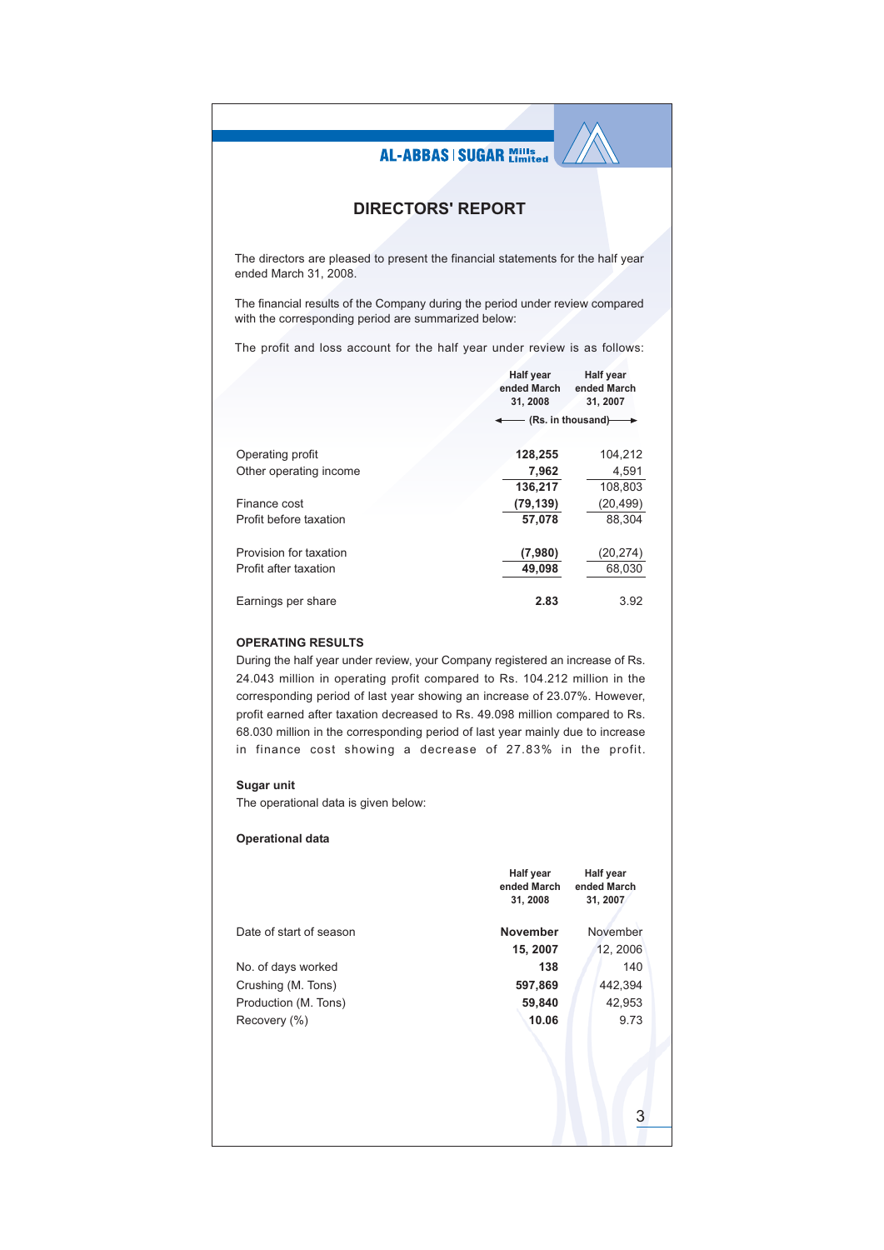## **DIRECTORS' REPORT**

The directors are pleased to present the financial statements for the half year ended March 31, 2008.

The financial results of the Company during the period under review compared with the corresponding period are summarized below:

The profit and loss account for the half year under review is as follows:

|                        | <b>Half year</b><br>ended March<br>31, 2008 | <b>Half year</b><br>ended March<br>31, 2007 |
|------------------------|---------------------------------------------|---------------------------------------------|
|                        |                                             | (Rs. in thousand)                           |
| Operating profit       | 128,255                                     | 104,212                                     |
| Other operating income | 7,962                                       | 4,591                                       |
|                        | 136,217                                     | 108,803                                     |
| Finance cost           | (79, 139)                                   | (20, 499)                                   |
| Profit before taxation | 57,078                                      | 88.304                                      |
| Provision for taxation | (7,980)                                     | (20,274)                                    |
| Profit after taxation  | 49.098                                      | 68,030                                      |
| Earnings per share     | 2.83                                        | 3.92                                        |

## **OPERATING RESULTS**

During the half year under review, your Company registered an increase of Rs. 24.043 million in operating profit compared to Rs. 104.212 million in the corresponding period of last year showing an increase of 23.07%. However. profit earned after taxation decreased to Rs. 49.098 million compared to Rs. 68.030 million in the corresponding period of last year mainly due to increase in finance cost showing a decrease of 27.83% in the profit.

## Sugar unit

The operational data is given below:

## **Operational data**

|                         | <b>Half year</b><br>ended March<br>31, 2008 | <b>Half year</b><br>ended March<br>31, 2007 |
|-------------------------|---------------------------------------------|---------------------------------------------|
|                         |                                             |                                             |
| Date of start of season | <b>November</b>                             | November                                    |
|                         | 15, 2007                                    | 12, 2006                                    |
| No. of days worked      | 138                                         | 140                                         |
| Crushing (M. Tons)      | 597,869                                     | 442,394                                     |
| Production (M. Tons)    | 59,840                                      | 42,953                                      |
| Recovery (%)            | 10.06                                       | 9.73                                        |
|                         |                                             |                                             |
|                         |                                             | 3                                           |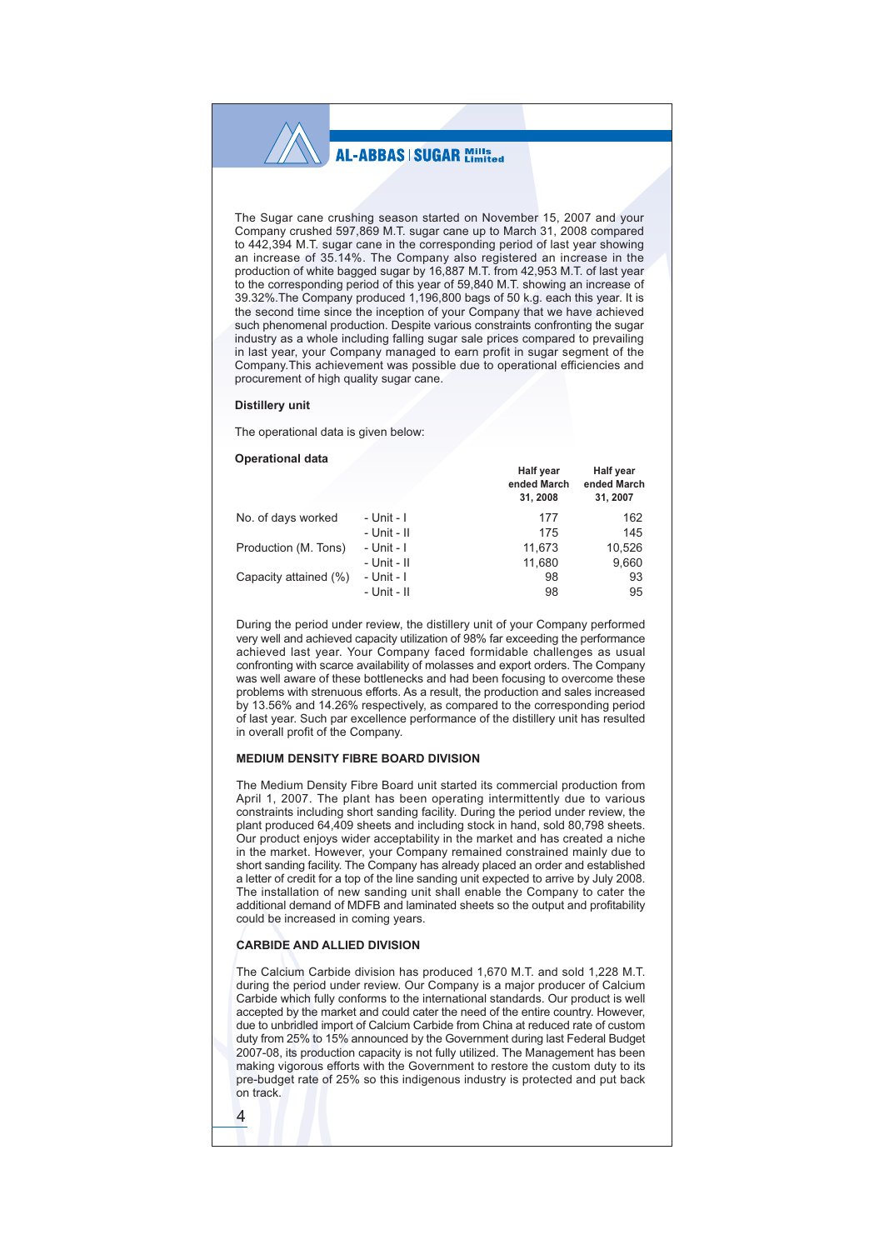## **AL-ABBAS | SUGAR Millister**

The Sugar cane crushing season started on November 15, 2007 and your Company crushed 597,869 M.T. sugar cane up to March 31, 2008 compared to 442,394 M.T. sugar cane in the corresponding period of last year showing an increase of 35.14%. The Company also registered an increase in the production of white bagged sugar by 16,887 M.T. from 42,953 M.T. of last year to the corresponding period of this year of 59,840 M.T. showing an increase of 39.32%. The Company produced 1,196,800 bags of 50 k.g. each this year. It is the second time since the inception of your Company that we have achieved such phenomenal production. Despite various constraints confronting the sugar industry as a whole including falling sugar sale prices compared to prevailing in last year, your Company managed to earn profit in sugar segment of the Company This achievement was possible due to operational efficiencies and procurement of high quality sugar cane.

#### **Distillery unit**

The operational data is given below:

#### **Operational data**

|                       |             | <b>Half year</b><br>ended March<br>31, 2008 | Half year<br>ended March<br>31, 2007 |
|-----------------------|-------------|---------------------------------------------|--------------------------------------|
| No. of days worked    | - Unit - I  | 177                                         | 162                                  |
|                       | - Unit - II | 175                                         | 145                                  |
| Production (M. Tons)  | - Unit - I  | 11,673                                      | 10,526                               |
|                       | - Unit - II | 11,680                                      | 9,660                                |
| Capacity attained (%) | - Unit - I  | 98                                          | 93                                   |
|                       | - Unit - II | 98                                          | 95                                   |

During the period under review, the distillery unit of your Company performed very well and achieved capacity utilization of 98% far exceeding the performance achieved last year. Your Company faced formidable challenges as usual confronting with scarce availability of molasses and export orders. The Company was well aware of these bottlenecks and had been focusing to overcome these problems with strenuous efforts. As a result, the production and sales increased by 13.56% and 14.26% respectively, as compared to the corresponding period of last year. Such par excellence performance of the distillery unit has resulted in overall profit of the Company.

## MEDIUM DENSITY FIBRE BOARD DIVISION

The Medium Density Fibre Board unit started its commercial production from April 1, 2007. The plant has been operating intermittently due to various constraints including short sanding facility. During the period under review, the plant produced 64.409 sheets and including stock in hand, sold 80.798 sheets. Our product enjoys wider acceptability in the market and has created a niche on the market. However, your Company remained constrained mainly due to<br>short sanding facility. The Company has already placed an order and established a letter of credit for a top of the line sanding unit expected to arrive by July 2008. The installation of new sanding unit shall enable the Company to cater the additional demand of MDFB and laminated sheets so the output and profitability could be increased in coming years.

#### **CARBIDE AND ALLIED DIVISION**

The Calcium Carbide division has produced 1,670 M.T. and sold 1.228 M.T. during the period under review. Our Company is a major producer of Calcium Carbide which fully conforms to the international standards. Our product is well accepted by the market and could cater the need of the entire country. However, due to unbridled import of Calcium Carbide from China at reduced rate of custom duty from 25% to 15% announced by the Government during last Federal Budget 2007-08, its production capacity is not fully utilized. The Management has been making vigorous efforts with the Government to restore the custom duty to its pre-budget rate of 25% so this indigenous industry is protected and put back on track.

 $\overline{4}$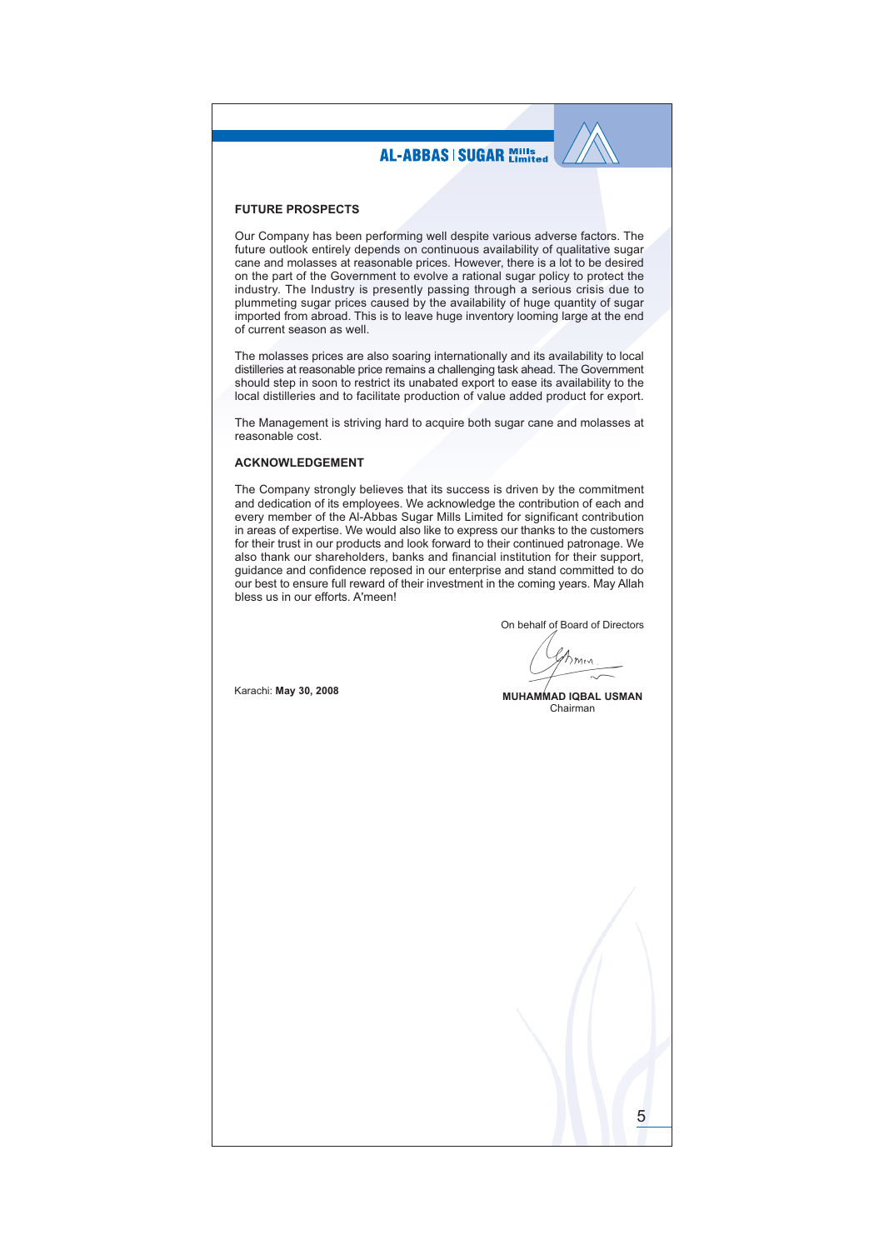### **FUTURE PROSPECTS**

Our Company has been performing well despite various adverse factors. The future outlook entirely depends on continuous availability of qualitative sugar cane and molasses at reasonable prices. However, there is a lot to be desired on the part of the Government to evolve a rational sugar policy to protect the industry. The Industry is presently passing through a serious crisis due to plummeting sugar prices caused by the availability of huge quantity of sugar imported from abroad. This is to leave huge inventory looming large at the end of current season as well.

The molasses prices are also soaring internationally and its availability to local distilleries at reasonable price remains a challenging task ahead. The Government should step in soon to restrict its unabated export to ease its availability to the local distilleries and to facilitate production of value added product for export.

The Management is striving hard to acquire both sugar cane and molasses at reasonable cost.

## **ACKNOWLEDGEMENT**

The Company strongly believes that its success is driven by the commitment and dedication of its employees. We acknowledge the contribution of each and every member of the Al-Abbas Sugar Mills Limited for significant contribution in areas of expertise. We would also like to express our thanks to the customers for their trust in our products and look forward to their continued patronage. We also thank our shareholders, banks and financial institution for their support, guidance and confidence reposed in our enterprise and stand committed to do our best to ensure full reward of their investment in the coming years. May Allah bless us in our efforts. A'meen!

On behalf of Board of Directors

 $\gamma_{mn}$ 

Karachi: May 30, 2008

#### **MUHAMMAD IQBAL USMAN** Chairman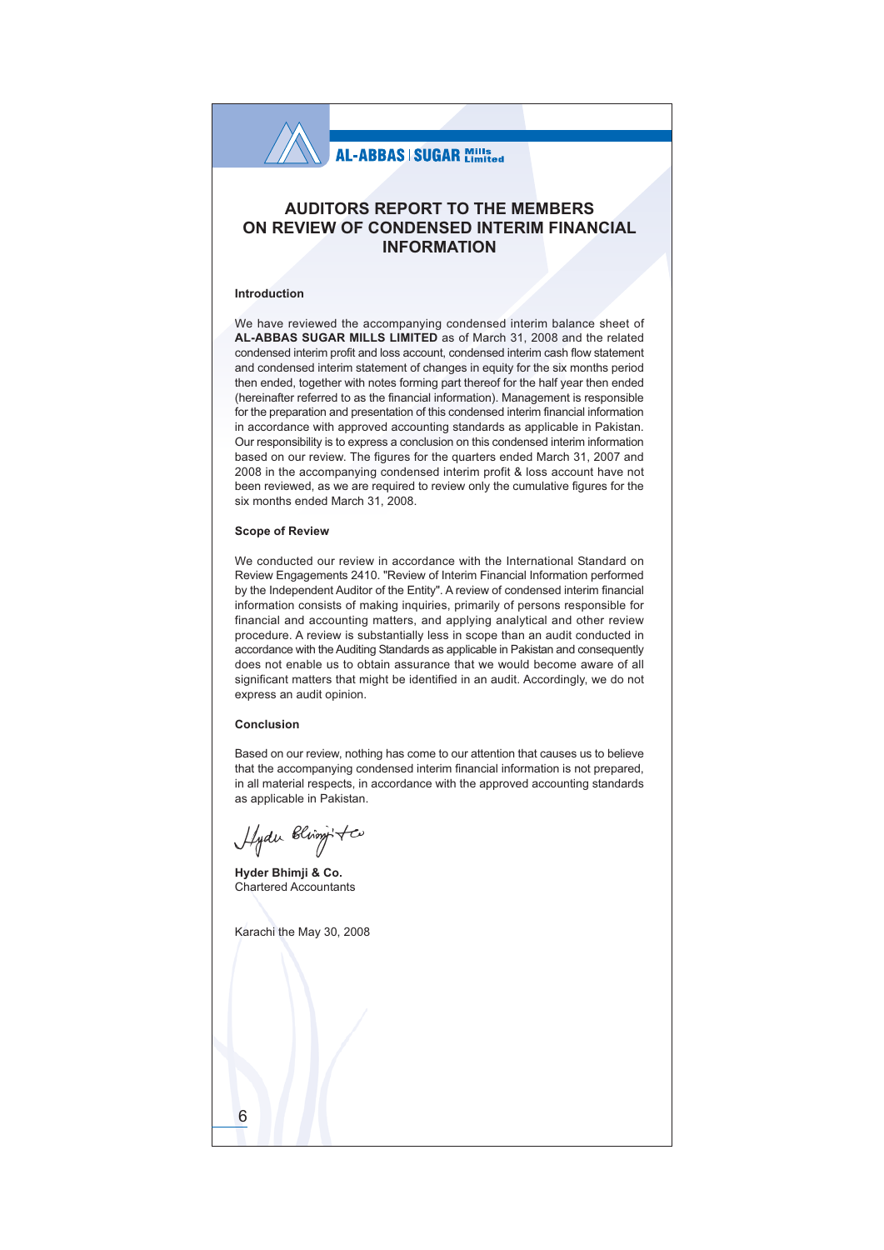

## **AUDITORS REPORT TO THE MEMBERS** ON REVIEW OF CONDENSED INTERIM FINANCIAL **INFORMATION**

#### **Introduction**

We have reviewed the accompanying condensed interim balance sheet of AL-ABBAS SUGAR MILLS LIMITED as of March 31, 2008 and the related condensed interim profit and loss account, condensed interim cash flow statement and condensed interim statement of changes in equity for the six months period then ended, together with notes forming part thereof for the half year then ended (hereinafter referred to as the financial information). Management is responsible for the preparation and presentation of this condensed interim financial information in accordance with approved accounting standards as applicable in Pakistan. Our responsibility is to express a conclusion on this condensed interim information based on our review. The figures for the quarters ended March 31, 2007 and 2008 in the accompanying condensed interim profit & loss account have not been reviewed, as we are required to review only the cumulative figures for the six months ended March 31, 2008.

#### **Scope of Review**

We conducted our review in accordance with the International Standard on Review Engagements 2410. "Review of Interim Financial Information performed by the Independent Auditor of the Entity". A review of condensed interim financial information consists of making inquiries, primarily of persons responsible for financial and accounting matters, and applying analytical and other review procedure. A review is substantially less in scope than an audit conducted in accordance with the Auditing Standards as applicable in Pakistan and consequently does not enable us to obtain assurance that we would become aware of all significant matters that might be identified in an audit. Accordingly, we do not express an audit opinion.

#### Conclusion

Based on our review, nothing has come to our attention that causes us to believe that the accompanying condensed interim financial information is not prepared, in all material respects, in accordance with the approved accounting standards as applicable in Pakistan.

Hydu Bling

Hyder Bhimji & Co. **Chartered Accountants** 

Karachi the May 30, 2008

6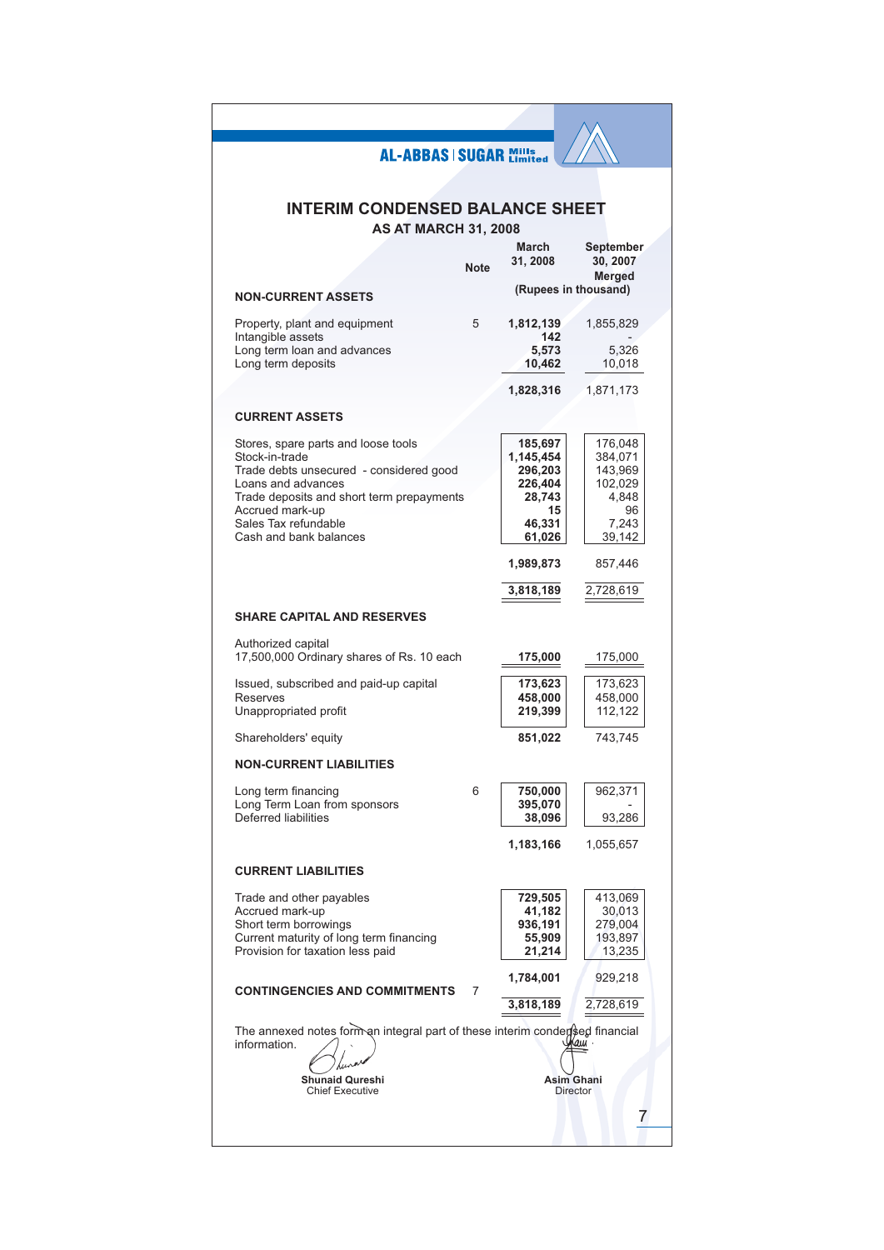# **INTERIM CONDENSED BALANCE SHEET**

**AS AT MARCH 31, 2008** 

|                                                                                                                                                                                                                                          | <b>Note</b> | marcn<br>31, 2008                                                              | <b>September</b><br>30, 2007<br>Merged                                     |
|------------------------------------------------------------------------------------------------------------------------------------------------------------------------------------------------------------------------------------------|-------------|--------------------------------------------------------------------------------|----------------------------------------------------------------------------|
| <b>NON-CURRENT ASSETS</b>                                                                                                                                                                                                                |             |                                                                                | (Rupees in thousand)                                                       |
| Property, plant and equipment<br>Intangible assets                                                                                                                                                                                       | 5           | 1,812,139<br>142                                                               | 1,855,829                                                                  |
| Long term loan and advances<br>Long term deposits                                                                                                                                                                                        |             | 5,573<br>10,462                                                                | 5,326<br>10,018                                                            |
|                                                                                                                                                                                                                                          |             | 1,828,316                                                                      | 1,871,173                                                                  |
| <b>CURRENT ASSETS</b>                                                                                                                                                                                                                    |             |                                                                                |                                                                            |
| Stores, spare parts and loose tools<br>Stock-in-trade<br>Trade debts unsecured - considered good<br>Loans and advances<br>Trade deposits and short term prepayments<br>Accrued mark-up<br>Sales Tax refundable<br>Cash and bank balances |             | 185,697<br>1,145,454<br>296,203<br>226,404<br>28,743<br>15<br>46,331<br>61,026 | 176,048<br>384,071<br>143,969<br>102,029<br>4,848<br>96<br>7,243<br>39,142 |
|                                                                                                                                                                                                                                          |             | 1,989,873                                                                      | 857,446                                                                    |
|                                                                                                                                                                                                                                          |             | 3,818,189                                                                      | 2,728,619                                                                  |
| <b>SHARE CAPITAL AND RESERVES</b>                                                                                                                                                                                                        |             |                                                                                |                                                                            |
| Authorized capital<br>17,500,000 Ordinary shares of Rs. 10 each                                                                                                                                                                          |             | 175,000                                                                        | 175,000                                                                    |
| Issued, subscribed and paid-up capital<br>Reserves<br>Unappropriated profit                                                                                                                                                              |             | 173,623<br>458,000<br>219,399                                                  | 173,623<br>458,000<br>112,122                                              |
| Shareholders' equity                                                                                                                                                                                                                     |             | 851,022                                                                        | 743,745                                                                    |
| <b>NON-CURRENT LIABILITIES</b>                                                                                                                                                                                                           |             |                                                                                |                                                                            |
| Long term financing<br>Long Term Loan from sponsors<br><b>Deferred liabilities</b>                                                                                                                                                       | 6           | 750,000<br>395,070<br>38,096                                                   | 962,371<br>93,286                                                          |
|                                                                                                                                                                                                                                          |             | 1,183,166                                                                      | 1,055,657                                                                  |
| <b>CURRENT LIABILITIES</b>                                                                                                                                                                                                               |             |                                                                                |                                                                            |
| Trade and other payables<br>Accrued mark-up<br>Short term borrowings<br>Current maturity of long term financing<br>Provision for taxation less paid                                                                                      |             | 729,505<br>41,182<br>936,191<br>55,909<br>21,214                               | 413,069<br>30,013<br>279,004<br>193,897<br>13,235                          |
| <b>CONTINGENCIES AND COMMITMENTS</b>                                                                                                                                                                                                     | 7           | 1,784,001                                                                      | 929,218                                                                    |
|                                                                                                                                                                                                                                          |             | 3,818,189                                                                      | 2,728,619                                                                  |
| The annexed notes form an integral part of these interim conder sed financial<br>information.                                                                                                                                            |             |                                                                                | аш                                                                         |
| <b>Shunaid Qureshi</b><br><b>Chief Executive</b>                                                                                                                                                                                         |             |                                                                                | <b>Asim Ghani</b><br><b>Director</b>                                       |
|                                                                                                                                                                                                                                          |             |                                                                                |                                                                            |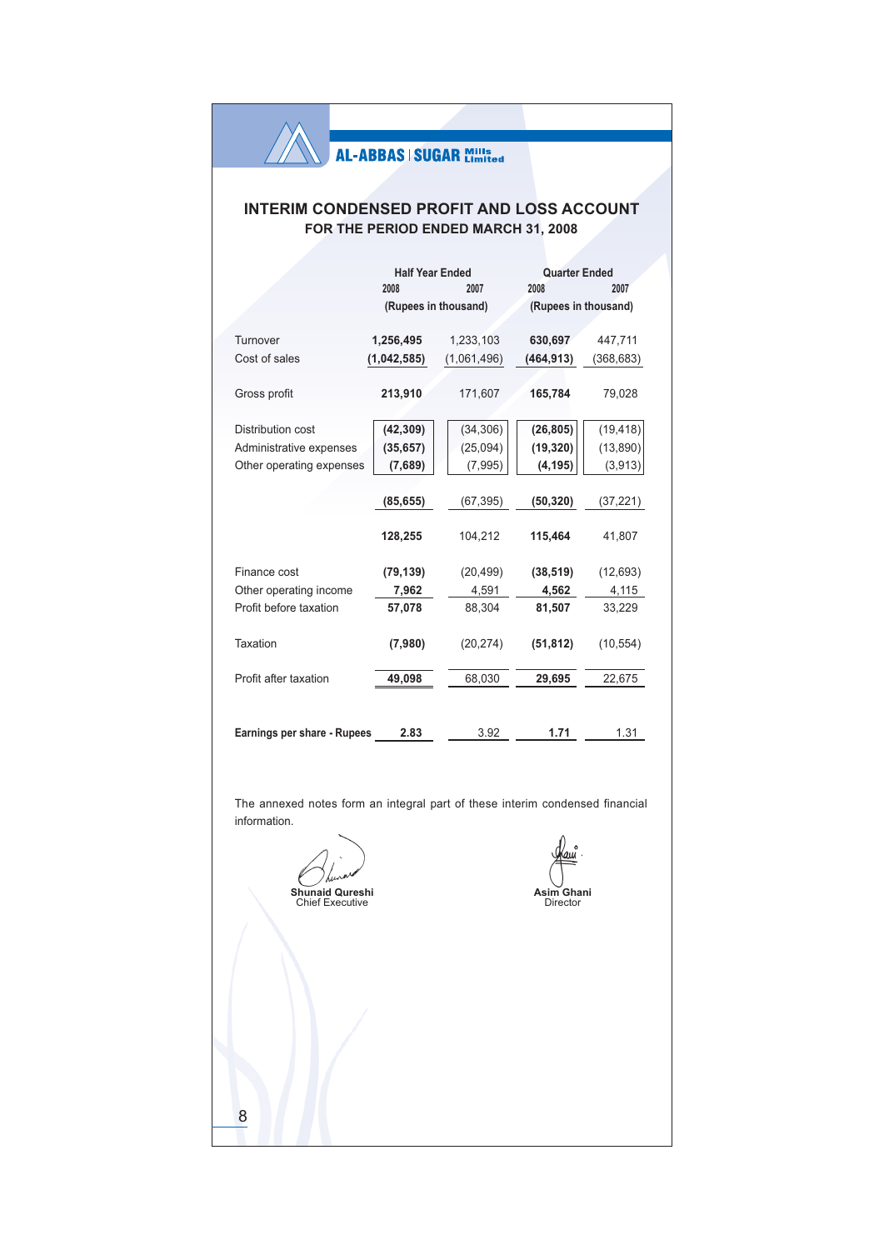## **INTERIM CONDENSED PROFIT AND LOSS ACCOUNT** FOR THE PERIOD ENDED MARCH 31, 2008

|                                    | <b>Half Year Ended</b> |             | <b>Quarter Ended</b> |            |  |
|------------------------------------|------------------------|-------------|----------------------|------------|--|
|                                    | 2008                   | 2007        | 2008                 | 2007       |  |
|                                    | (Rupees in thousand)   |             | (Rupees in thousand) |            |  |
|                                    |                        |             |                      |            |  |
| Turnover                           | 1,256,495              | 1,233,103   | 630,697              | 447,711    |  |
| Cost of sales                      | (1,042,585)            | (1,061,496) | (464, 913)           | (368, 683) |  |
|                                    |                        |             |                      |            |  |
| Gross profit                       | 213,910                | 171,607     | 165,784              | 79,028     |  |
|                                    |                        |             |                      |            |  |
| Distribution cost                  | (42, 309)              | (34, 306)   | (26, 805)            | (19, 418)  |  |
| Administrative expenses            | (35, 657)              | (25,094)    | (19, 320)            | (13, 890)  |  |
| Other operating expenses           | (7,689)                | (7, 995)    | (4, 195)             | (3,913)    |  |
|                                    |                        |             |                      |            |  |
|                                    | (85, 655)              | (67, 395)   | (50, 320)            | (37, 221)  |  |
|                                    |                        |             |                      |            |  |
|                                    | 128,255                | 104,212     | 115,464              | 41,807     |  |
|                                    |                        |             |                      |            |  |
| Finance cost                       | (79, 139)              | (20, 499)   | (38, 519)            | (12, 693)  |  |
| Other operating income             | 7,962                  | 4,591       | 4,562                | 4,115      |  |
| Profit before taxation             | 57,078                 | 88,304      | 81,507               | 33,229     |  |
|                                    |                        |             |                      |            |  |
| Taxation                           | (7,980)                | (20, 274)   | (51, 812)            | (10, 554)  |  |
|                                    |                        |             |                      |            |  |
| Profit after taxation              | 49,098                 | 68,030      | 29,695               | 22,675     |  |
|                                    |                        |             |                      |            |  |
|                                    |                        |             |                      |            |  |
| <b>Earnings per share - Rupees</b> | 2.83                   | 3.92        | 1.71                 | 1.31       |  |
|                                    |                        |             |                      |            |  |

The annexed notes form an integral part of these interim condensed financial information.

Shunaid Qureshi<br>Chief Executive

 $\delta$ 

Asim Ghani<br>Director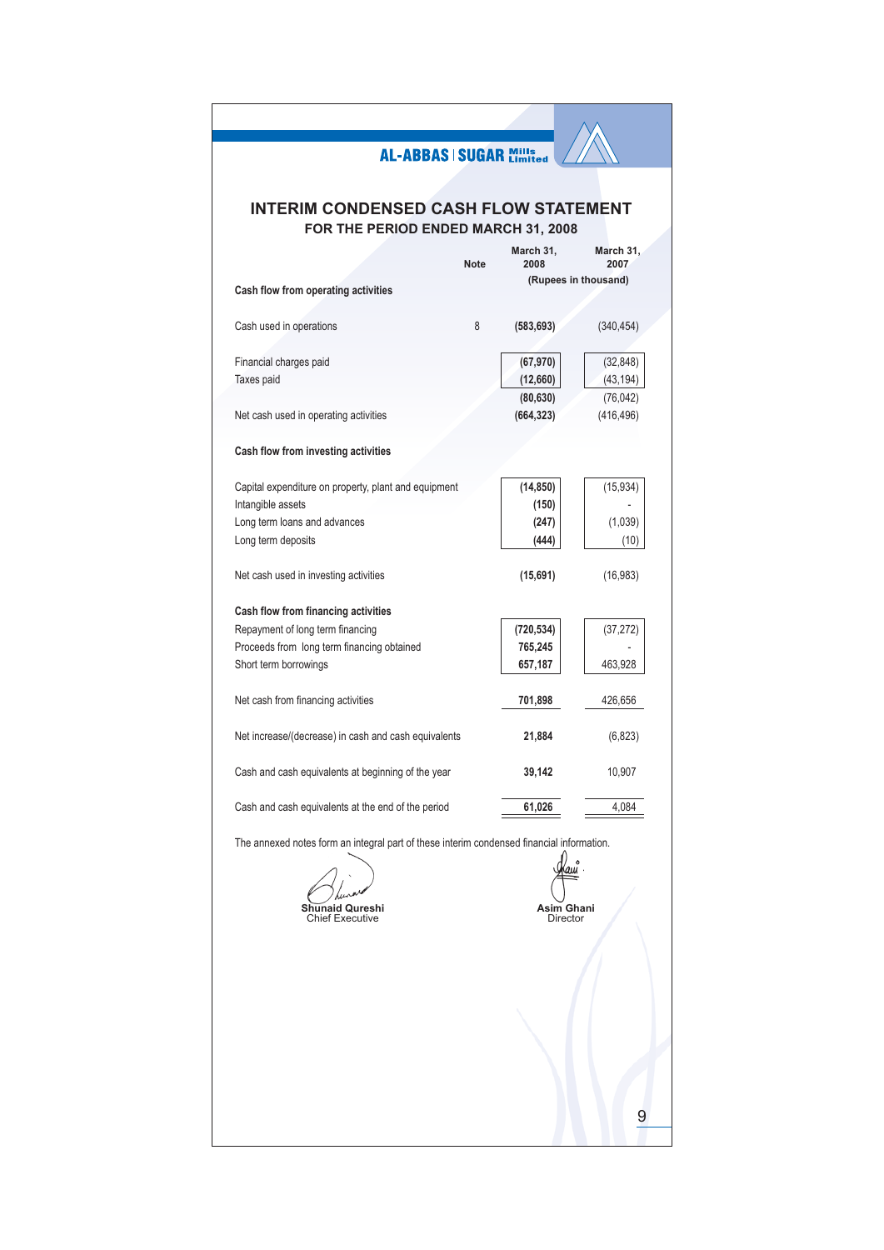|                                                                                           | <b>AL-ABBAS   SUGAR Mills</b> |                         |                         |
|-------------------------------------------------------------------------------------------|-------------------------------|-------------------------|-------------------------|
|                                                                                           |                               |                         |                         |
|                                                                                           |                               |                         |                         |
| <b>INTERIM CONDENSED CASH FLOW STATEMENT</b>                                              |                               |                         |                         |
| FOR THE PERIOD ENDED MARCH 31, 2008                                                       |                               |                         |                         |
|                                                                                           |                               | March 31,               | March 31,               |
|                                                                                           | <b>Note</b>                   | 2008                    | 2007                    |
| Cash flow from operating activities                                                       |                               |                         | (Rupees in thousand)    |
|                                                                                           |                               |                         |                         |
| Cash used in operations                                                                   | 8                             | (583, 693)              | (340, 454)              |
|                                                                                           |                               |                         |                         |
| Financial charges paid                                                                    |                               | (67, 970)               | (32, 848)               |
| Taxes paid                                                                                |                               | (12,660)                | (43, 194)               |
| Net cash used in operating activities                                                     |                               | (80, 630)<br>(664, 323) | (76, 042)<br>(416, 496) |
|                                                                                           |                               |                         |                         |
| Cash flow from investing activities                                                       |                               |                         |                         |
|                                                                                           |                               |                         |                         |
| Capital expenditure on property, plant and equipment                                      |                               | (14, 850)               | (15, 934)               |
| Intangible assets                                                                         |                               | (150)                   |                         |
| Long term loans and advances                                                              |                               | (247)                   | (1,039)                 |
| Long term deposits                                                                        |                               | (444)                   | (10)                    |
| Net cash used in investing activities                                                     |                               | (15,691)                | (16, 983)               |
|                                                                                           |                               |                         |                         |
| Cash flow from financing activities                                                       |                               |                         |                         |
| Repayment of long term financing                                                          |                               | (720, 534)              | (37, 272)               |
| Proceeds from long term financing obtained                                                |                               | 765,245                 |                         |
| Short term borrowings                                                                     |                               | 657,187                 | 463,928                 |
| Net cash from financing activities                                                        |                               | 701,898                 | 426,656                 |
|                                                                                           |                               |                         |                         |
| Net increase/(decrease) in cash and cash equivalents                                      |                               | 21,884                  | (6, 823)                |
|                                                                                           |                               |                         |                         |
| Cash and cash equivalents at beginning of the year                                        |                               | 39,142                  | 10,907                  |
|                                                                                           |                               |                         |                         |
| Cash and cash equivalents at the end of the period                                        |                               | 61,026                  | 4,084                   |
| The annexed notes form an integral part of these interim condensed financial information. |                               |                         |                         |
|                                                                                           |                               |                         |                         |
|                                                                                           |                               |                         |                         |
| naid Qureshi                                                                              |                               |                         |                         |
| Sŀ<br><b>Chief Executive</b>                                                              |                               | Asim Ghani<br>Director  |                         |
|                                                                                           |                               |                         |                         |
|                                                                                           |                               |                         |                         |
|                                                                                           |                               |                         |                         |
|                                                                                           |                               |                         |                         |
|                                                                                           |                               |                         |                         |
|                                                                                           |                               |                         |                         |
|                                                                                           |                               |                         |                         |
|                                                                                           |                               |                         |                         |
|                                                                                           |                               |                         |                         |
|                                                                                           |                               |                         | 9                       |
|                                                                                           |                               |                         |                         |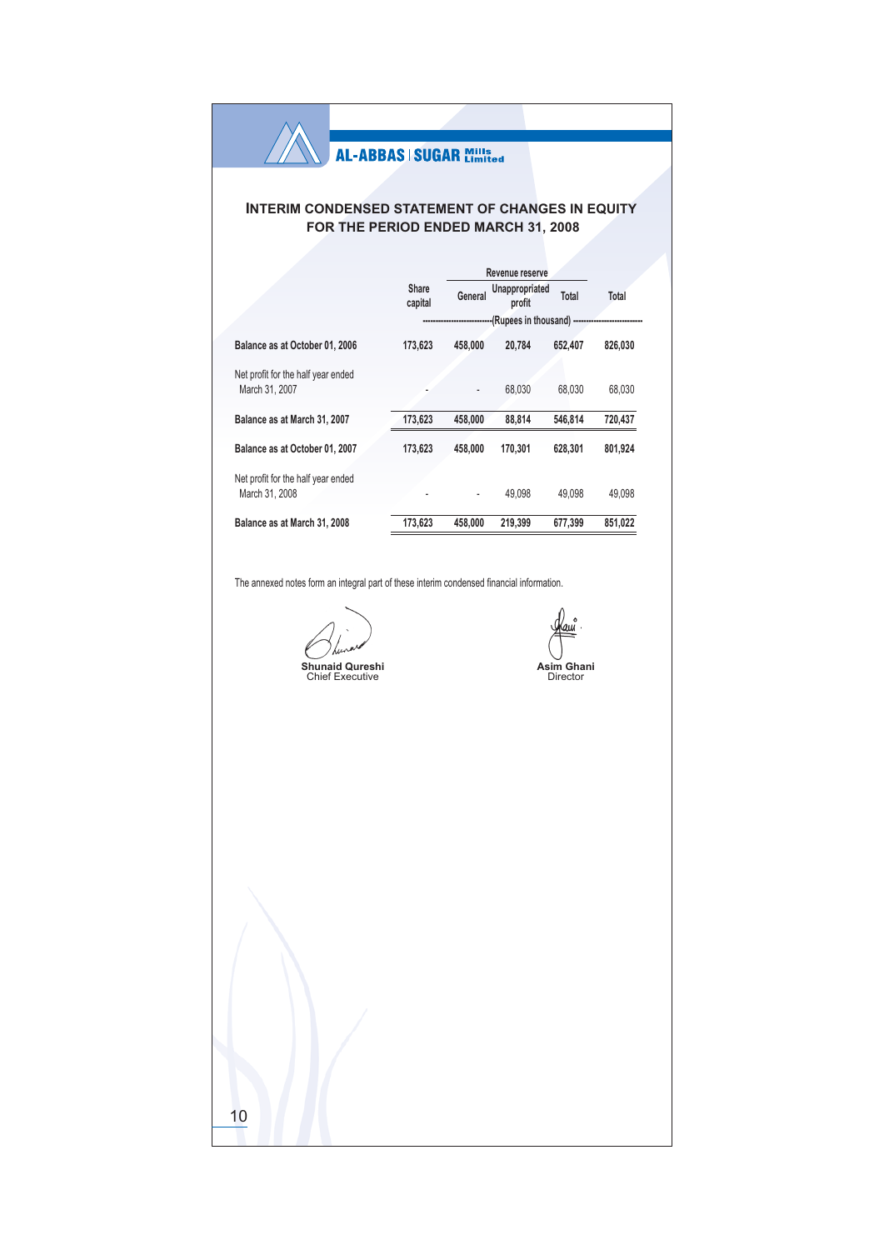## **INTERIM CONDENSED STATEMENT OF CHANGES IN EQUITY** FOR THE PERIOD ENDED MARCH 31, 2008

|                                                      |                  |                          | Revenue reserve               |         |         |  |
|------------------------------------------------------|------------------|--------------------------|-------------------------------|---------|---------|--|
|                                                      | Share<br>capital | General                  | Unappropriated<br>profit      | Total   | Total   |  |
|                                                      |                  |                          | --(Rupees in thousand) ------ |         |         |  |
| Balance as at October 01, 2006                       | 173.623          | 458,000                  | 20.784                        | 652.407 | 826.030 |  |
| Net profit for the half year ended<br>March 31, 2007 |                  | $\overline{\phantom{a}}$ | 68.030                        | 68,030  | 68.030  |  |
| Balance as at March 31, 2007                         | 173,623          | 458.000                  | 88.814                        | 546.814 | 720,437 |  |
| Balance as at October 01, 2007                       | 173,623          | 458.000                  | 170.301                       | 628.301 | 801,924 |  |
| Net profit for the half year ended<br>March 31, 2008 |                  |                          | 49.098                        | 49.098  | 49.098  |  |
| Balance as at March 31, 2008                         | 173,623          | 458.000                  | 219.399                       | 677,399 | 851.022 |  |

The annexed notes form an integral part of these interim condensed financial information.

Shunaid Qureshi<br>Chief Executive

 $10$ 

Kauî Asim Ghani<br>Director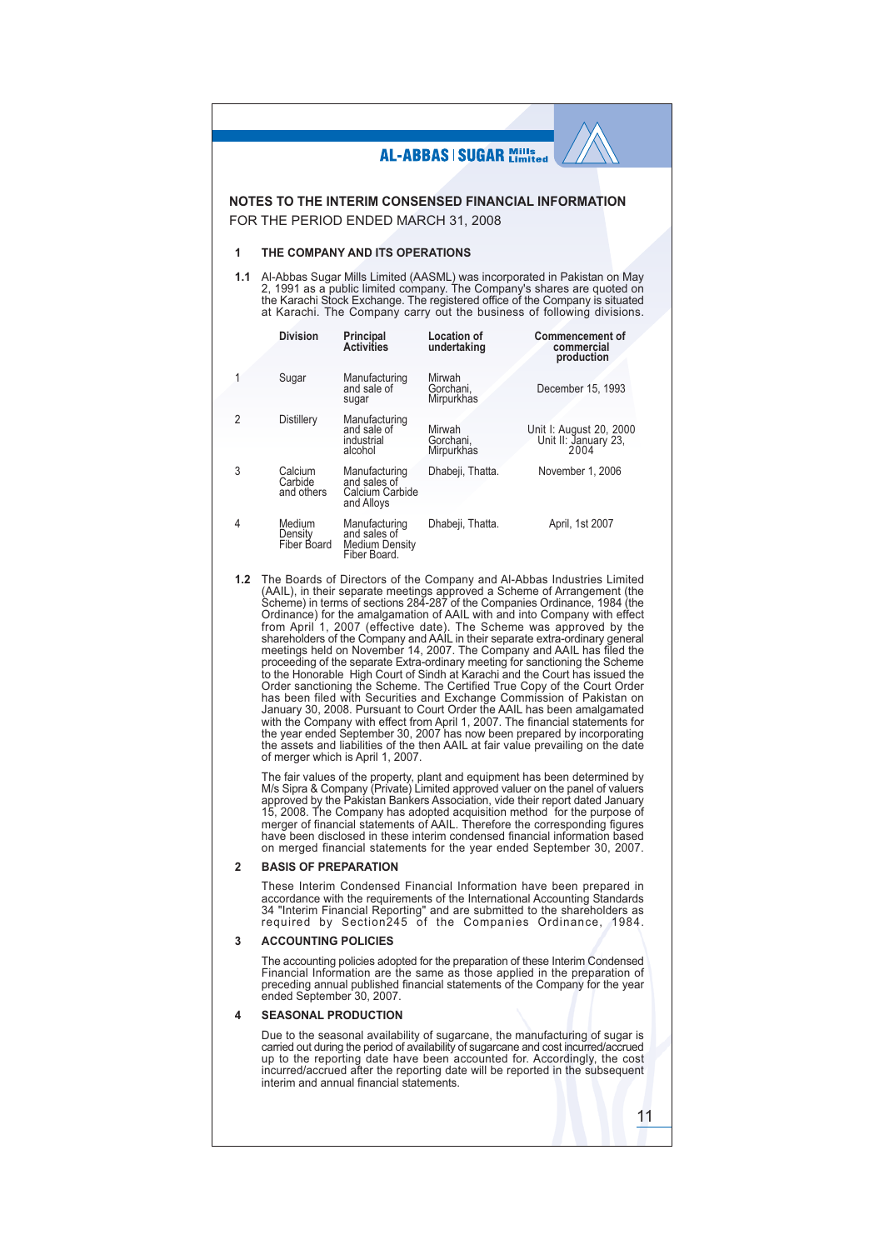|                  |                                                                                                                                                                                                                                                                                                                                                                                                                                                                                                                                                                                                                                                                                                                                                                                                                                                                                                                                                                                                                                                                                                                                                                                                                                       |                                                                 | <b>AL-ABBAS   SUGAR Mills</b>     |                                                                                                                                                                                                                                                                                                                                                                                                                                                                                                                                                                |  |  |  |  |
|------------------|---------------------------------------------------------------------------------------------------------------------------------------------------------------------------------------------------------------------------------------------------------------------------------------------------------------------------------------------------------------------------------------------------------------------------------------------------------------------------------------------------------------------------------------------------------------------------------------------------------------------------------------------------------------------------------------------------------------------------------------------------------------------------------------------------------------------------------------------------------------------------------------------------------------------------------------------------------------------------------------------------------------------------------------------------------------------------------------------------------------------------------------------------------------------------------------------------------------------------------------|-----------------------------------------------------------------|-----------------------------------|----------------------------------------------------------------------------------------------------------------------------------------------------------------------------------------------------------------------------------------------------------------------------------------------------------------------------------------------------------------------------------------------------------------------------------------------------------------------------------------------------------------------------------------------------------------|--|--|--|--|
|                  |                                                                                                                                                                                                                                                                                                                                                                                                                                                                                                                                                                                                                                                                                                                                                                                                                                                                                                                                                                                                                                                                                                                                                                                                                                       |                                                                 |                                   |                                                                                                                                                                                                                                                                                                                                                                                                                                                                                                                                                                |  |  |  |  |
|                  |                                                                                                                                                                                                                                                                                                                                                                                                                                                                                                                                                                                                                                                                                                                                                                                                                                                                                                                                                                                                                                                                                                                                                                                                                                       |                                                                 |                                   | NOTES TO THE INTERIM CONSENSED FINANCIAL INFORMATION                                                                                                                                                                                                                                                                                                                                                                                                                                                                                                           |  |  |  |  |
|                  |                                                                                                                                                                                                                                                                                                                                                                                                                                                                                                                                                                                                                                                                                                                                                                                                                                                                                                                                                                                                                                                                                                                                                                                                                                       | FOR THE PERIOD ENDED MARCH 31, 2008                             |                                   |                                                                                                                                                                                                                                                                                                                                                                                                                                                                                                                                                                |  |  |  |  |
| 1                |                                                                                                                                                                                                                                                                                                                                                                                                                                                                                                                                                                                                                                                                                                                                                                                                                                                                                                                                                                                                                                                                                                                                                                                                                                       | THE COMPANY AND ITS OPERATIONS                                  |                                   |                                                                                                                                                                                                                                                                                                                                                                                                                                                                                                                                                                |  |  |  |  |
| 1.1              |                                                                                                                                                                                                                                                                                                                                                                                                                                                                                                                                                                                                                                                                                                                                                                                                                                                                                                                                                                                                                                                                                                                                                                                                                                       |                                                                 |                                   | Al-Abbas Sugar Mills Limited (AASML) was incorporated in Pakistan on May<br>2, 1991 as a public limited company. The Company's shares are quoted on<br>the Karachi Stock Exchange. The registered office of the Company is situated<br>at Karachi. The Company carry out the business of following divisions.                                                                                                                                                                                                                                                  |  |  |  |  |
|                  | <b>Division</b>                                                                                                                                                                                                                                                                                                                                                                                                                                                                                                                                                                                                                                                                                                                                                                                                                                                                                                                                                                                                                                                                                                                                                                                                                       | Principal<br>Activities                                         | <b>Location of</b><br>undertaking | <b>Commencement of</b><br>commercial<br>production                                                                                                                                                                                                                                                                                                                                                                                                                                                                                                             |  |  |  |  |
| 1                | Sugar                                                                                                                                                                                                                                                                                                                                                                                                                                                                                                                                                                                                                                                                                                                                                                                                                                                                                                                                                                                                                                                                                                                                                                                                                                 | Manufacturing<br>and sale of<br>sugar                           | Mirwah<br>Gorchani,<br>Mirpurkhas | December 15, 1993                                                                                                                                                                                                                                                                                                                                                                                                                                                                                                                                              |  |  |  |  |
| 2                | Distillery                                                                                                                                                                                                                                                                                                                                                                                                                                                                                                                                                                                                                                                                                                                                                                                                                                                                                                                                                                                                                                                                                                                                                                                                                            | Manufacturing<br>and sale of<br>industrial<br>alcohol           | Mirwah<br>Gorchani,<br>Mirpurkhas | Unit I: August 20, 2000<br>Unit II: January 23,<br>2004                                                                                                                                                                                                                                                                                                                                                                                                                                                                                                        |  |  |  |  |
| 3                | Calcium<br>Carbide<br>and others                                                                                                                                                                                                                                                                                                                                                                                                                                                                                                                                                                                                                                                                                                                                                                                                                                                                                                                                                                                                                                                                                                                                                                                                      | Manufacturing<br>and sales of<br>Calcium Carbide<br>and Alloys  | Dhabeji, Thatta.                  | November 1, 2006                                                                                                                                                                                                                                                                                                                                                                                                                                                                                                                                               |  |  |  |  |
| 4                | Medium<br>Density<br>Fiber Board                                                                                                                                                                                                                                                                                                                                                                                                                                                                                                                                                                                                                                                                                                                                                                                                                                                                                                                                                                                                                                                                                                                                                                                                      | Manufacturing<br>and sales of<br>Medium Density<br>Fiber Board. | Dhabeji, Thatta.                  | April, 1st 2007                                                                                                                                                                                                                                                                                                                                                                                                                                                                                                                                                |  |  |  |  |
| 1.2 <sub>1</sub> | The Boards of Directors of the Company and Al-Abbas Industries Limited<br>(AAIL), in their separate meetings approved a Scheme of Arrangement (the<br>Scheme) in terms of sections 284-287 of the Companies Ordinance, 1984 (the<br>Ordinance) for the amalgamation of AAIL with and into Company with effect<br>from April 1, 2007 (effective date). The Scheme was approved by the<br>shareholders of the Company and AAIL in their separate extra-ordinary general<br>meetings held on November 14, 2007. The Company and AAIL has filed the<br>proceeding of the separate Extra-ordinary meeting for sanctioning the Scheme<br>to the Honorable High Court of Sindh at Karachi and the Court has issued the<br>Order sanctioning the Scheme. The Certified True Copy of the Court Order<br>has been filed with Securities and Exchange Commission of Pakistan on<br>January 30, 2008. Pursuant to Court Order the AAIL has been amalgamated<br>with the Company with effect from April 1, 2007. The financial statements for<br>the year ended September 30, 2007 has now been prepared by incorporating<br>the assets and liabilities of the then AAIL at fair value prevailing on the date<br>of merger which is April 1, 2007. |                                                                 |                                   |                                                                                                                                                                                                                                                                                                                                                                                                                                                                                                                                                                |  |  |  |  |
|                  |                                                                                                                                                                                                                                                                                                                                                                                                                                                                                                                                                                                                                                                                                                                                                                                                                                                                                                                                                                                                                                                                                                                                                                                                                                       |                                                                 |                                   | The fair values of the property, plant and equipment has been determined by<br>M/s Sipra & Company (Private) Limited approved valuer on the panel of valuers<br>approved by the Pakistan Bankers Association, vide their report dated January<br>15, 2008. The Company has adopted acquisition method for the purpose of<br>merger of financial statements of AAIL. Therefore the corresponding figures<br>have been disclosed in these interim condensed financial information based<br>on merged financial statements for the year ended September 30, 2007. |  |  |  |  |
| $\overline{2}$   | <b>BASIS OF PREPARATION</b>                                                                                                                                                                                                                                                                                                                                                                                                                                                                                                                                                                                                                                                                                                                                                                                                                                                                                                                                                                                                                                                                                                                                                                                                           |                                                                 |                                   |                                                                                                                                                                                                                                                                                                                                                                                                                                                                                                                                                                |  |  |  |  |
|                  |                                                                                                                                                                                                                                                                                                                                                                                                                                                                                                                                                                                                                                                                                                                                                                                                                                                                                                                                                                                                                                                                                                                                                                                                                                       |                                                                 |                                   | These Interim Condensed Financial Information have been prepared in<br>accordance with the requirements of the International Accounting Standards<br>34 "Interim Financial Reporting" and are submitted to the shareholders as<br>required by Section245 of the Companies Ordinance, 1984.                                                                                                                                                                                                                                                                     |  |  |  |  |

#### $\mathbf 3$ **ACCOUNTING POLICIES**

The accounting policies adopted for the preparation of these Interim Condensed<br>Financial Information are the same as those applied in the preparation of<br>preceding annual published financial statements of the Company for th

#### **SEASONAL PRODUCTION**  $\overline{\mathbf{4}}$

Due to the seasonal availability of sugarcane, the manufacturing of sugar is carried out during the period of availability of sugarcane and cost incurred/accrued up to the reporting date have been accounted for. Accordingl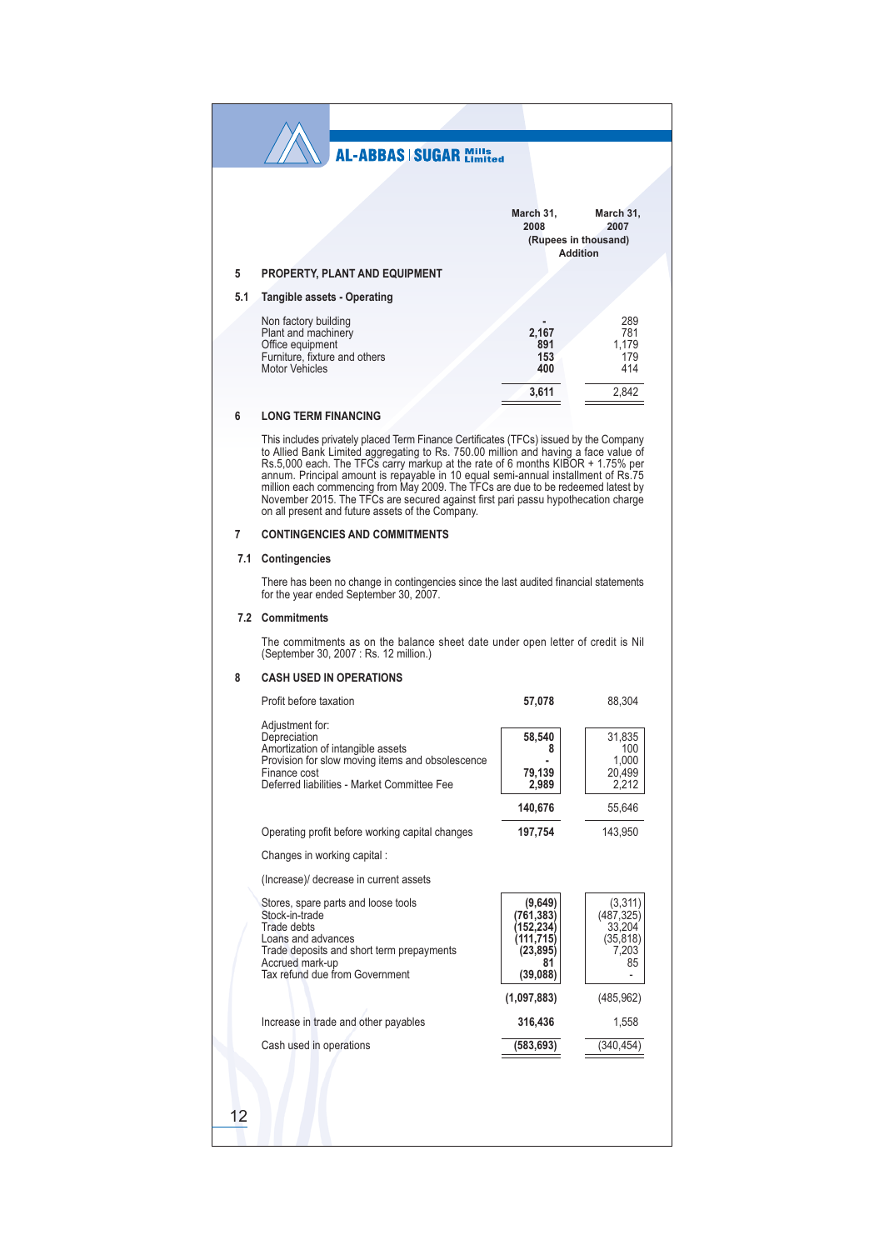|     | <b>AL-ABBAS   SUGAR Mills</b>                                                                                                                                                                                                                                                                                                                                                                                                                                                                                                                                                    |                                                                               |                                                              |
|-----|----------------------------------------------------------------------------------------------------------------------------------------------------------------------------------------------------------------------------------------------------------------------------------------------------------------------------------------------------------------------------------------------------------------------------------------------------------------------------------------------------------------------------------------------------------------------------------|-------------------------------------------------------------------------------|--------------------------------------------------------------|
|     |                                                                                                                                                                                                                                                                                                                                                                                                                                                                                                                                                                                  |                                                                               |                                                              |
|     |                                                                                                                                                                                                                                                                                                                                                                                                                                                                                                                                                                                  | March 31,<br>2008                                                             | March 31,<br>2007                                            |
|     |                                                                                                                                                                                                                                                                                                                                                                                                                                                                                                                                                                                  |                                                                               | (Rupees in thousand)<br><b>Addition</b>                      |
| 5   | <b>PROPERTY, PLANT AND EQUIPMENT</b>                                                                                                                                                                                                                                                                                                                                                                                                                                                                                                                                             |                                                                               |                                                              |
| 5.1 | Tangible assets - Operating                                                                                                                                                                                                                                                                                                                                                                                                                                                                                                                                                      |                                                                               |                                                              |
|     | Non factory building<br>Plant and machinery<br>Office equipment<br>Furniture, fixture and others<br>Motor Vehicles                                                                                                                                                                                                                                                                                                                                                                                                                                                               | 2,167<br>891<br>153<br>400                                                    | 289<br>781<br>1,179<br>179<br>414                            |
|     |                                                                                                                                                                                                                                                                                                                                                                                                                                                                                                                                                                                  | 3,611                                                                         | 2,842                                                        |
| 6   | <b>LONG TERM FINANCING</b>                                                                                                                                                                                                                                                                                                                                                                                                                                                                                                                                                       |                                                                               |                                                              |
|     | This includes privately placed Term Finance Certificates (TFCs) issued by the Company<br>to Allied Bank Limited aggregating to Rs. 750.00 million and having a face value of<br>Rs.5,000 each. The TFCs carry markup at the rate of 6 months KIBOR + 1.75% per<br>annum. Principal amount is repayable in 10 equal semi-annual installment of Rs.75<br>million each commencing from May 2009. The TFCs are due to be redeemed latest by<br>November 2015. The TFCs are secured against first pari passu hypothecation charge<br>on all present and future assets of the Company. |                                                                               |                                                              |
| 7   | <b>CONTINGENCIES AND COMMITMENTS</b>                                                                                                                                                                                                                                                                                                                                                                                                                                                                                                                                             |                                                                               |                                                              |
|     | 7.1 Contingencies                                                                                                                                                                                                                                                                                                                                                                                                                                                                                                                                                                |                                                                               |                                                              |
|     | There has been no change in contingencies since the last audited financial statements<br>for the year ended September 30, 2007.                                                                                                                                                                                                                                                                                                                                                                                                                                                  |                                                                               |                                                              |
|     | 7.2 Commitments                                                                                                                                                                                                                                                                                                                                                                                                                                                                                                                                                                  |                                                                               |                                                              |
|     | The commitments as on the balance sheet date under open letter of credit is Nil<br>(September 30, 2007 : Rs. 12 million.)                                                                                                                                                                                                                                                                                                                                                                                                                                                        |                                                                               |                                                              |
| 8   | <b>CASH USED IN OPERATIONS</b>                                                                                                                                                                                                                                                                                                                                                                                                                                                                                                                                                   |                                                                               |                                                              |
|     | Profit before taxation                                                                                                                                                                                                                                                                                                                                                                                                                                                                                                                                                           | 57,078                                                                        | 88,304                                                       |
|     | Adjustment for:<br>Depreciation<br>Amortization of intangible assets<br>Provision for slow moving items and obsolescence<br>Finance cost<br>Deferred liabilities - Market Committee Fee                                                                                                                                                                                                                                                                                                                                                                                          | 58,540<br>8<br>79,139<br>2,989<br>140,676                                     | 31,835<br>100<br>1,000<br>20,499<br>2,212<br>55,646          |
|     | Operating profit before working capital changes                                                                                                                                                                                                                                                                                                                                                                                                                                                                                                                                  | 197,754                                                                       | 143,950                                                      |
|     | Changes in working capital:                                                                                                                                                                                                                                                                                                                                                                                                                                                                                                                                                      |                                                                               |                                                              |
|     | (Increase)/ decrease in current assets                                                                                                                                                                                                                                                                                                                                                                                                                                                                                                                                           |                                                                               |                                                              |
|     | Stores, spare parts and loose tools<br>Stock-in-trade<br>Trade debts<br>Loans and advances<br>Trade deposits and short term prepayments<br>Accrued mark-up<br>Tax refund due from Government                                                                                                                                                                                                                                                                                                                                                                                     | (9,649)<br>(761,383)<br>(152,234)<br>(111,715)<br>(23, 895)<br>81<br>(39,088) | (3, 311)<br>(487, 325)<br>33,204<br>(35, 818)<br>7,203<br>85 |
|     |                                                                                                                                                                                                                                                                                                                                                                                                                                                                                                                                                                                  | (1,097,883)                                                                   | (485, 962)                                                   |
|     | Increase in trade and other payables                                                                                                                                                                                                                                                                                                                                                                                                                                                                                                                                             | 316,436                                                                       | 1,558                                                        |
|     | Cash used in operations                                                                                                                                                                                                                                                                                                                                                                                                                                                                                                                                                          | (583, 693)                                                                    | (340, 454)                                                   |
|     |                                                                                                                                                                                                                                                                                                                                                                                                                                                                                                                                                                                  |                                                                               |                                                              |
| 12  |                                                                                                                                                                                                                                                                                                                                                                                                                                                                                                                                                                                  |                                                                               |                                                              |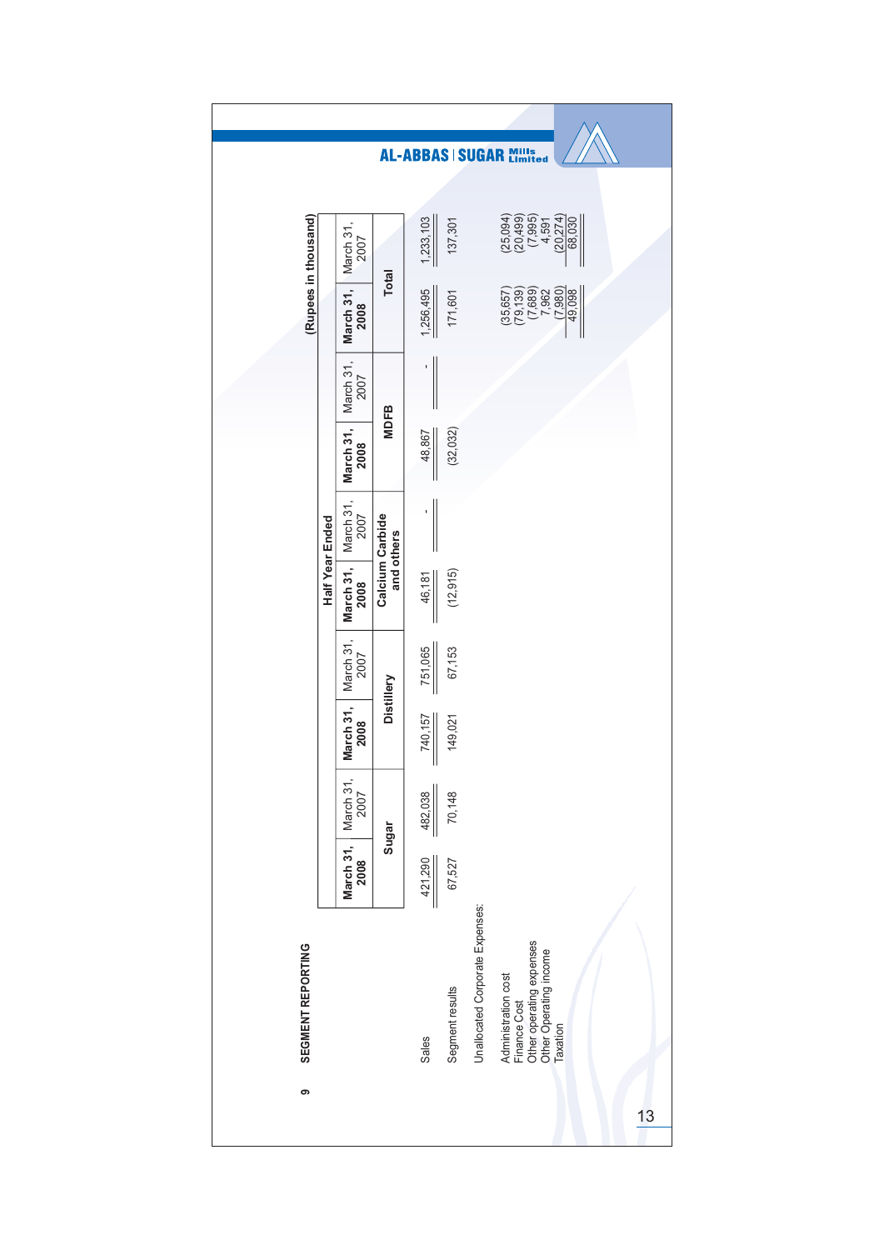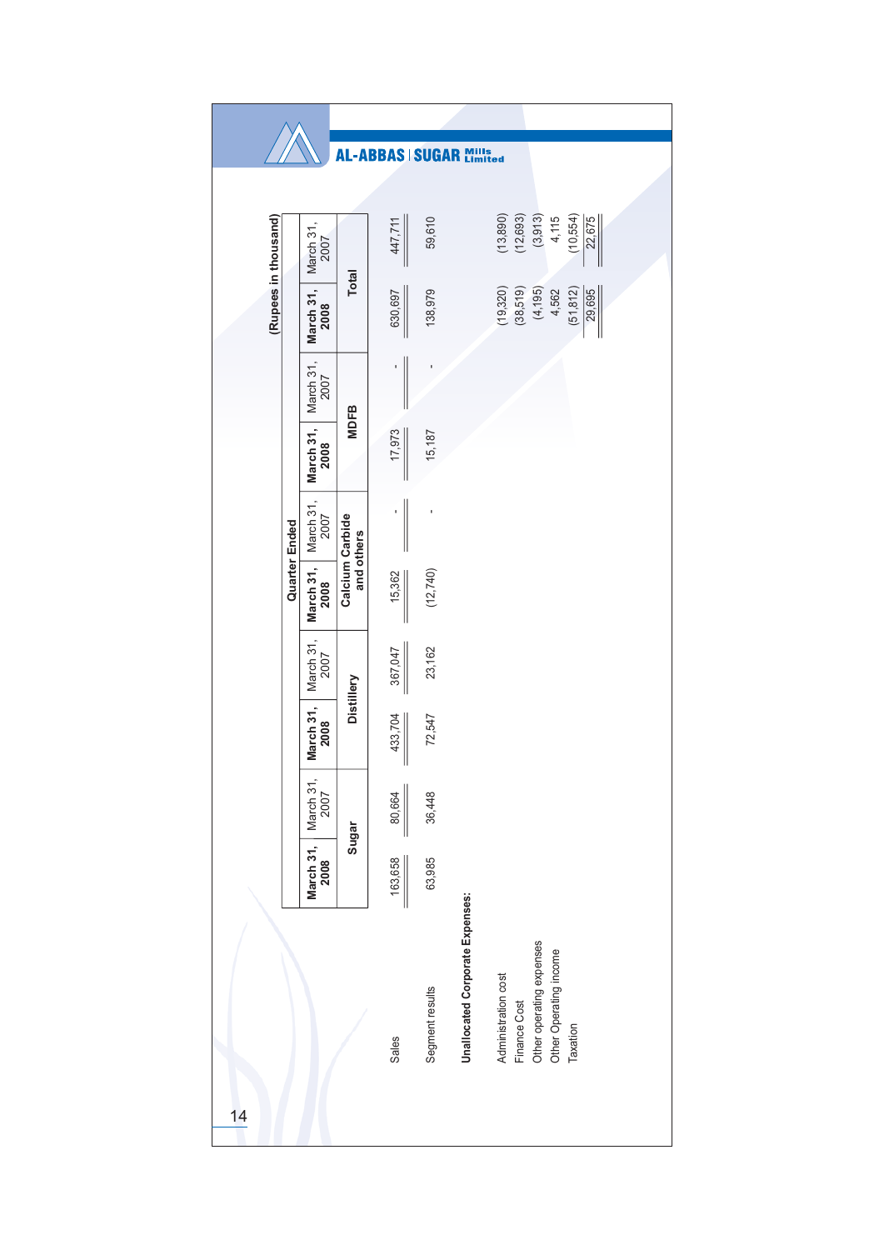|    |                      |                                                                        |                               | <b>AL-ABBAS SUGAR</b> |                 |                                        | Mills<br>Limited                           |                          |                        |                     |
|----|----------------------|------------------------------------------------------------------------|-------------------------------|-----------------------|-----------------|----------------------------------------|--------------------------------------------|--------------------------|------------------------|---------------------|
|    |                      |                                                                        |                               |                       |                 |                                        |                                            |                          |                        |                     |
|    | (Rupees in thousand) | March 31,<br>2007                                                      |                               | 447,711               | 59,610          |                                        | (13, 890)<br>(12, 693)                     | (3,913)                  | 4,115                  | (10, 554)<br>22,675 |
|    |                      | March 31,<br>2008                                                      | <b>Total</b>                  | 630,697               | 138,979         |                                        | (19, 320)<br>(38,519)                      | (4, 195)                 | 4,562                  | (51, 812)<br>29,695 |
|    |                      | March 31,<br>2007                                                      | <b>MDFB</b>                   |                       |                 |                                        |                                            |                          |                        |                     |
|    |                      | March 31,<br>2008                                                      |                               | 17,973                | 15,187          |                                        |                                            |                          |                        |                     |
|    | Quarter Ended        | $\begin{array}{ l} \hline \text{March 31}, \\ \hline 2007 \end{array}$ | Calcium Carbide<br>and others |                       | ı               |                                        |                                            |                          |                        |                     |
|    |                      | March 31,<br>2008                                                      |                               | 15,362                | (12, 740)       |                                        |                                            |                          |                        |                     |
|    |                      | March 31, March 31,<br>2007                                            | Distillery                    | 367,047               | 23,162          |                                        |                                            |                          |                        |                     |
|    |                      | 2008                                                                   |                               | 433,704               | 72,547          |                                        |                                            |                          |                        |                     |
|    |                      | March 31,<br>2007                                                      | Sugar                         | 80,664                | 36,448          |                                        |                                            |                          |                        |                     |
|    |                      | March 31,<br>2008                                                      |                               | 163,658               | 63,985          |                                        |                                            |                          |                        |                     |
| 14 |                      |                                                                        |                               | Sales                 | Segment results | <b>Unallocated Corporate Expenses:</b> | Administration cost<br><b>Finance Cost</b> | Other operating expenses | Other Operating income | Taxation            |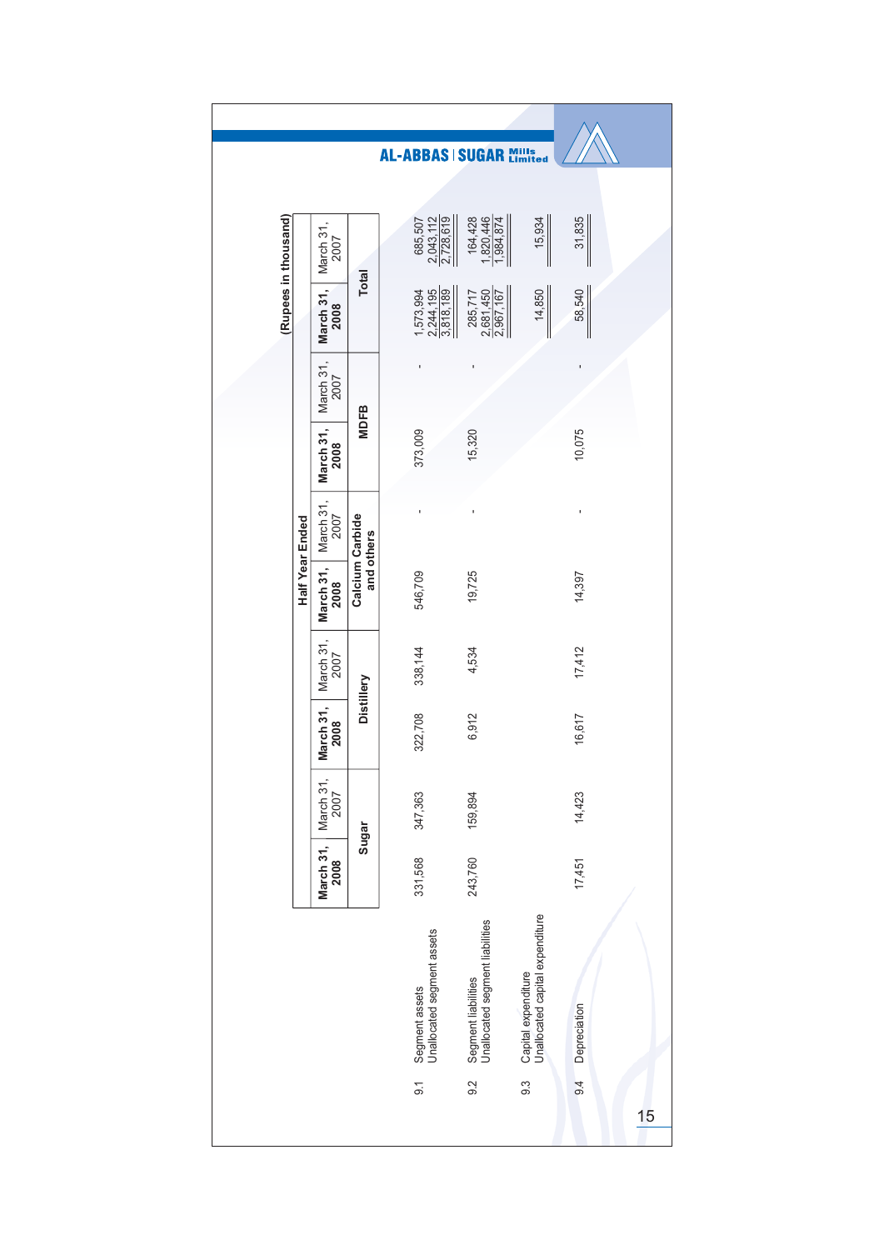|                      |                 |                   |                               | AL-ABBAS   SUGAR Mills                       |                                                        |                                                        |              |    |
|----------------------|-----------------|-------------------|-------------------------------|----------------------------------------------|--------------------------------------------------------|--------------------------------------------------------|--------------|----|
|                      |                 |                   |                               |                                              |                                                        |                                                        |              |    |
| (Rupees in thousand) |                 | March 31,<br>2007 |                               | $\frac{2,043,112}{2,728,619}$<br>685,507     | 164,428<br>1,820,446<br>1,984,874                      | 15,934                                                 | 31,835       |    |
|                      |                 | March 31,<br>2008 | <b>Total</b>                  | 1,573,994<br>2,244,195<br>3,818,189          | $\frac{2,681,450}{2,967,167}$<br>285,717               | 14,850                                                 | 58,540       |    |
|                      |                 | March 31,<br>2007 |                               |                                              |                                                        |                                                        |              |    |
|                      |                 | March 31,<br>2008 | <b>MDFB</b>                   | 373,009                                      | 15,320                                                 |                                                        | 10,075       |    |
|                      | Half Year Ended | March 31,<br>2007 |                               |                                              |                                                        |                                                        | I            |    |
|                      |                 | March 31,<br>2008 | Calcium Carbide<br>and others | 546,709                                      | 19,725                                                 |                                                        | 14,397       |    |
|                      |                 | March 31,<br>2007 |                               | 338,144                                      | 4,534                                                  |                                                        | 17,412       |    |
|                      |                 | March 31,<br>2008 | Distillery                    | 322,708                                      | 6,912                                                  |                                                        | 16,617       |    |
|                      |                 | March 31,<br>2007 |                               | 347,363                                      | 159,894                                                |                                                        | 14,423       |    |
|                      |                 | March 31,<br>2008 | Sugar                         | 331,568                                      | 243,760                                                |                                                        | 17,451       |    |
|                      |                 |                   |                               | Segment assets<br>Unallocated segment assets | Segment liabilities<br>Unallocated segment liabilities | Capital expenditure<br>Unallocated capital expenditure | Depreciation |    |
|                      |                 |                   |                               | $\overline{9}$ .                             | 9.2                                                    | $9.\overline{3}$                                       | 9.4          | 15 |